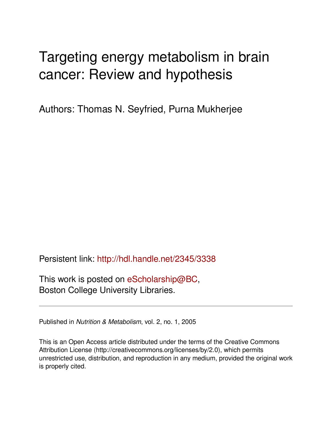# Targeting energy metabolism in brain cancer: Review and hypothesis

Authors: Thomas N. Seyfried, Purna Mukherjee

Persistent link: <http://hdl.handle.net/2345/3338>

This work is posted on [eScholarship@BC](http://escholarship.bc.edu), Boston College University Libraries.

Published in *Nutrition & Metabolism*, vol. 2, no. 1, 2005

This is an Open Access article distributed under the terms of the Creative Commons Attribution License (http://creativecommons.org/licenses/by/2.0), which permits unrestricted use, distribution, and reproduction in any medium, provided the original work is properly cited.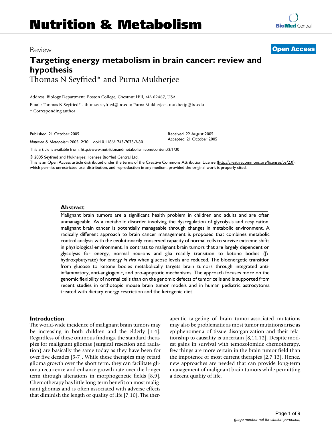# **Nutrition & Metabolism**

# **Targeting energy metabolism in brain cancer: review and hypothesis** Thomas N Seyfried\* and Purna Mukherjee

Address: Biology Department, Boston College, Chestnut Hill, MA 02467, USA

Email: Thomas N Seyfried\* - thomas.seyfried@bc.edu; Purna Mukherjee - mukherjp@bc.edu

\* Corresponding author

Published: 21 October 2005

*Nutrition & Metabolism* 2005, **2**:30 doi:10.1186/1743-7075-2-30

[This article is available from: http://www.nutritionandmetabolism.com/content/2/1/30](http://www.nutritionandmetabolism.com/content/2/1/30)

© 2005 Seyfried and Mukherjee; licensee BioMed Central Ltd.

This is an Open Access article distributed under the terms of the Creative Commons Attribution License [\(http://creativecommons.org/licenses/by/2.0\)](http://creativecommons.org/licenses/by/2.0), which permits unrestricted use, distribution, and reproduction in any medium, provided the original work is properly cited.

Received: 22 August 2005 Accepted: 21 October 2005

#### **Abstract**

Malignant brain tumors are a significant health problem in children and adults and are often unmanageable. As a metabolic disorder involving the dysregulation of glycolysis and respiration, malignant brain cancer is potentially manageable through changes in metabolic environment. A radically different approach to brain cancer management is proposed that combines metabolic control analysis with the evolutionarily conserved capacity of normal cells to survive extreme shifts in physiological environment. In contrast to malignant brain tumors that are largely dependent on glycolysis for energy, normal neurons and glia readily transition to ketone bodies (βhydroxybutyrate) for energy *in vivo* when glucose levels are reduced. The bioenergetic transition from glucose to ketone bodies metabolically targets brain tumors through integrated antiinflammatory, anti-angiogenic, and pro-apoptotic mechanisms. The approach focuses more on the genomic flexibility of normal cells than on the genomic defects of tumor cells and is supported from recent studies in orthotopic mouse brain tumor models and in human pediatric astrocytoma treated with dietary energy restriction and the ketogenic diet.

#### **Introduction**

The world-wide incidence of malignant brain tumors may be increasing in both children and the elderly [1-4]. Regardless of these ominous findings, the standard therapies for malignant gliomas (surgical resection and radiation) are basically the same today as they have been for over five decades [5-7]. While these therapies may retard glioma growth over the short term, they can facilitate glioma recurrence and enhance growth rate over the longer term through alterations in morphogenetic fields [8,9]. Chemotherapy has little long-term benefit on most malignant gliomas and is often associated with adverse effects that diminish the length or quality of life [7,10]. The therapeutic targeting of brain tumor-associated mutations may also be problematic as most tumor mutations arise as epiphenomena of tissue disorganization and their relationship to causality is uncertain [8,11,12]. Despite modest gains in survival with temozolomide chemotherapy, few things are more certain in the brain tumor field than the impotence of most current therapies [2,7,13]. Hence, new approaches are needed that can provide long-term management of malignant brain tumors while permitting a decent quality of life.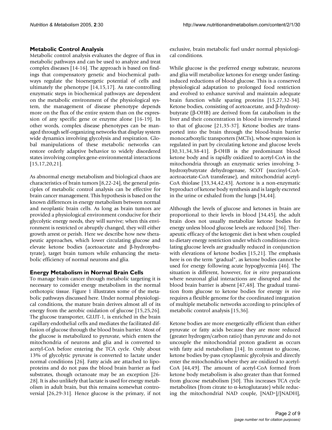# **Metabolic Control Analysis**

Metabolic control analysis evaluates the degree of flux in metabolic pathways and can be used to analyze and treat complex diseases [14-16]. The approach is based on findings that compensatory genetic and biochemical pathways regulate the bioenergetic potential of cells and ultimately the phenotype [14,15,17]. As rate-controlling enzymatic steps in biochemical pathways are dependent on the metabolic environment of the physiological system, the management of disease phenotype depends more on the flux of the entire system than on the expression of any specific gene or enzyme alone [16-19]. In other words, complex disease phenotypes can be managed through self-organizing networks that display system wide dynamics involving glycolysis and respiration. Global manipulations of these metabolic networks can restore orderly adaptive behavior to widely disordered states involving complex gene-environmental interactions [15,17,20,21].

As abnormal energy metabolism and biological chaos are characteristics of brain tumors [8,22-24], the general principles of metabolic control analysis can be effective for brain cancer management. This hypothesis is based on the known differences in energy metabolism between normal and neoplastic brain cells. As long as brain tumors are provided a physiological environment conducive for their glycolytic energy needs, they will survive; when this environment is restricted or abruptly changed, they will either growth arrest or perish. Here we describe how new therapeutic approaches, which lower circulating glucose and elevate ketone bodies (acetoacetate and β-hydroxybutyrate), target brain tumors while enhancing the metabolic efficiency of normal neurons and glia.

# **Energy Metabolism in Normal Brain Cells**

To manage brain cancer through metabolic targeting it is necessary to consider energy metabolism in the normal orthotopic tissue. Figure [1](#page-3-0) illustrates some of the metabolic pathways discussed here. Under normal physiological conditions, the mature brain derives almost all of its energy from the aerobic oxidation of glucose [15,25,26]. The glucose transporter, GLUT-1, is enriched in the brain capillary endothelial cells and mediates the facilitated diffusion of glucose through the blood brain barrier. Most of the glucose is metabolized to pyruvate, which enters the mitochondria of neurons and glia and is converted to acetyl-CoA before entering the TCA cycle. Only about 13% of glycolytic pyruvate is converted to lactate under normal conditions [26]. Fatty acids are attached to lipoproteins and do not pass the blood brain barrier as fuel substrates, though octanoate may be an exception [26- 28]. It is also unlikely that lactate is used for energy metabolism in adult brain, but this remains somewhat controversial [26,29-31]. Hence glucose is the primary, if not

exclusive, brain metabolic fuel under normal physiological conditions.

While glucose is the preferred energy substrate, neurons and glia will metabolize ketones for energy under fastinginduced reductions of blood glucose. This is a conserved physiological adaptation to prolonged food restriction and evolved to enhance survival and maintain adequate brain function while sparing proteins [15,27,32-34]. Ketone bodies, consisting of acetoacetate, and β-hydroxybutyrate (β-OHB) are derived from fat catabolism in the liver and their concentration in blood is inversely related to that of glucose [21,35-37]. Ketone bodies are transported into the brain through the blood-brain barrier monocarboxylic transporters (MCTs), whose expression is regulated in part by circulating ketone and glucose levels [30,31,34,38-41]. β-OHB is the predominant blood ketone body and is rapidly oxidized to acetyl-CoA in the mitochondria through an enzymatic series involving 3 hydroxybutyrate dehydrogenase, SCOT (succinyl-CoAacetoacetate-CoA transferase), and mitochondrial acetyl-CoA thiolase [33,34,42,43]. Acetone is a non-enzymatic byproduct of ketone body synthesis and is largely excreted in the urine or exhaled from the lungs [34,44].

Although the levels of glucose and ketones in brain are proportional to their levels in blood [34,45], the adult brain does not usually metabolize ketone bodies for energy unless blood glucose levels are reduced [36]. Therapeutic efficacy of the ketogenic diet is best when coupled to dietary energy restriction under which conditions circulating glucose levels are gradually reduced in conjunction with elevations of ketone bodies [15,21]. The emphasis here is on the term "gradual", as ketone bodies cannot be used for energy following acute hypoglycemia [46]. The situation is different, however, for *in vitro* preparations where neuronal glial interactions are disrupted and the blood brain barrier is absent [47,48]. The gradual transition from glucose to ketone bodies for energy *in vivo* requires a flexible genome for the coordinated integration of multiple metabolic networks according to principles of metabolic control analysis [15,36].

Ketone bodies are more energetically efficient than either pyruvate or fatty acids because they are more reduced (greater hydrogen/carbon ratio) than pyruvate and do not uncouple the mitochondrial proton gradient as occurs with fatty acid metabolism [14]. In contrast to glucose, ketone bodies by-pass cytoplasmic glycolysis and directly enter the mitochondria where they are oxidized to acetyl-CoA [44,49]. The amount of acetyl-CoA formed from ketone body metabolism is also greater than that formed from glucose metabolism [50]. This increases TCA cycle metabolites (from citrate to  $\alpha$ -ketoglutarate) while reducing the mitochondrial NAD couple, [NAD+]/[NADH],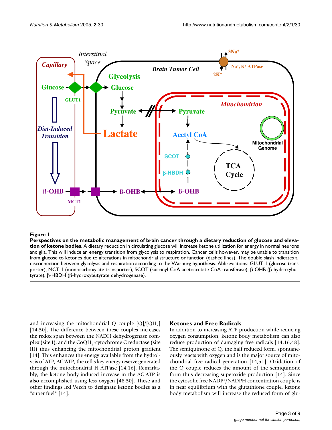<span id="page-3-0"></span>

#### Perspectives on the metabolic management bodies **Figure 1** of brain cancer through a dietary reduction of glucose and elevation of ketone

**Perspectives on the metabolic management of brain cancer through a dietary reduction of glucose and elevation of ketone bodies**. A dietary reduction in circulating glucose will increase ketone utilization for energy in normal neurons and glia. This will induce an energy transition from glycolysis to respiration. Cancer cells however, may be unable to transition from glucose to ketones due to alterations in mitochondrial structure or function (dashed lines). The double slash indicates a disconnection between glycolysis and respiration according to the Warburg hypothesis. Abbreviations: GLUT-1 (glucose transporter), MCT-1 (monocarboxylate transporter), SCOT (succinyl-CoA-acetoacetate-CoA transferase), β-OHB (β-hydroxybutyrate), β-HBDH (β-hydroxybutyrate dehydrogenase).

and increasing the mitochondrial Q couple  $[Q]/[QH<sub>2</sub>]$ [14,50]. The difference between these couples increases the redox span between the NADH dehydrogenase complex (site I), and the  $CoQH<sub>2</sub>$ -cytochrome C reductase (site III) thus enhancing the mitochondrial proton gradient [14]. This enhances the energy available from the hydrolysis of ATP, ∆G'ATP, the cell's key energy reserve generated through the mitochondrial Fl ATPase [14,16]. Remarkably, the ketone body-induced increase in the ∆G'ATP is also accomplished using less oxygen [48,50]. These and other findings led Veech to designate ketone bodies as a "super fuel" [14].

#### **Ketones and Free Radicals**

In addition to increasing ATP production while reducing oxygen consumption, ketone body metabolism can also reduce production of damaging free radicals [14,16,48]. The semiquinone of Q, the half reduced form, spontaneously reacts with oxygen and is the major source of mitochondrial free radical generation [14,51]. Oxidation of the Q couple reduces the amount of the semiquinone form thus decreasing superoxide production [14]. Since the cytosolic free NADP+/NADPH concentration couple is in near equilibrium with the glutathione couple, ketone body metabolism will increase the reduced form of glu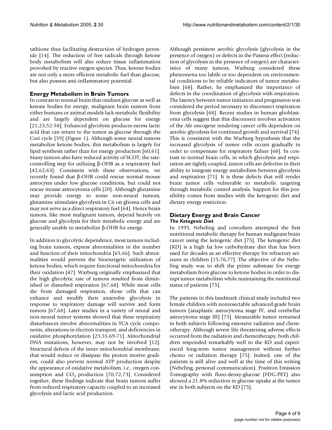tathione thus facilitating destruction of hydrogen peroxide [14]. The reduction of free radicals through ketone body metabolism will also reduce tissue inflammation provoked by reactive oxygen species. Thus, ketone bodies are not only a more efficient metabolic fuel than glucose, but also possess anti-inflammatory potential.

# **Energy Metabolism in Brain Tumors**

In contrast to normal brain that oxidizes glucose as well as ketone bodies for energy, malignant brain tumors from either humans or animal models lack metabolic flexibility and are largely dependent on glucose for energy [21,23,52-58]. Enhanced glycolysis produces excess lactic acid that can return to the tumor as glucose through the Cori cycle [59] (Figure [1\)](#page-3-0). Although some neural tumors metabolize ketone bodies, this metabolism is largely for lipid synthesis rather than for energy production [60,61]. Many tumors also have reduced activity of SCOT, the ratecontrolling step for utilizing β-OHB as a respiratory fuel [42,62,63]. Consistent with these observations, we recently found that β-OHB could rescue normal mouse astrocytes under low glucose conditions, but could not rescue mouse astrocytoma cells [20]. Although glutamine may provide energy to some non-neural tumors, glutamine stimulates glycolysis in C6 rat glioma cells and may not serve as a direct respiratory fuel [64]. Hence brain tumors, like most malignant tumors, depend heavily on glucose and glycolysis for their metabolic energy and are generally unable to metabolize β-OHB for energy.

In addition to glycolytic dependence, most tumors including brain tumors, express abnormalities in the number and function of their mitochondria [65,66]. Such abnormalities would prevent the bioenergetic utilization of ketone bodies, which require functional mitochondria for their oxidation [47]. Warburg originally emphasized that the high glycolytic rate of tumors resulted from diminished or disturbed respiration [67,68]. While most cells die from damaged respiration, those cells that can enhance and modify their anaerobic glycolysis in response to respiratory damage will survive and form tumors [67,68]. Later studies in a variety of neural and non-neural tumor systems showed that these respiratory disturbances involve abnormalities in TCA cycle components, alterations in electron transport, and deficiencies in oxidative phosphorylation [23,55,69-71]. Mitochondrial DNA mutations, however, may not be involved [12]. Structural defects of the inner mitochondrial membrane, that would reduce or dissipate the proton motive gradient, could also prevent normal ATP production despite the appearance of oxidative metabolism, i.e., oxygen consumption and  $CO<sub>2</sub>$  production [70,72,73]. Considered together, these findings indicate that brain tumors suffer from reduced respiratory capacity coupled to an increased glycolysis and lactic acid production.

Although persistent aerobic glycolysis (glycolysis in the presence of oxygen) or defects in the Pasteur effect (reduction of glycolysis in the presence of oxygen) are characteristics of many tumors, Warburg considered these phenomena too labile or too dependent on environmental conditions to be reliable indicators of tumor metabolism [68]. Rather, he emphasized the importance of defects in the coordination of glycolysis with respiration. The latency between tumor initiation and progression was considered the period necessary to disconnect respiration from glycolysis [68]. Recent studies in human glioblastoma cells suggest that this disconnect involves activation of the *Akt* oncogene rendering cancer cells dependent on aerobic glycolysis for continued growth and survival [74]. This is consistent with the Warburg hypothesis that the increased glycolysis of tumor cells occurs gradually in order to compensate for respiratory failure [68]. In contrast to normal brain cells, in which glycolysis and respiration are tightly coupled, tumor cells are defective in their ability to integrate energy metabolism between glycolysis and respiration [71]. It is these defects that will render brain tumor cells vulnerable to metabolic targeting through metabolic control analysis. Support for this possibility comes from studies with the ketogenic diet and dietary energy restriction.

### **Dietary Energy and Brain Cancer** *The Ketogenic Diet*

In 1995, Nebeling and coworkers attempted the first nutritional metabolic therapy for human malignant brain cancer using the ketogenic diet [75]. The ketogenic diet (KD) is a high fat low carbohydrate diet that has been used for decades as an effective therapy for refractory seizures in children [15,76,77]. The objective of the Nebeling study was to shift the prime substrate for energy metabolism from glucose to ketone bodies in order to disrupt tumor metabolism while maintaining the nutritional status of patients [75].

The patients in this landmark clinical study included two female children with nonresectable advanced grade brain tumors (anaplastic astrocytoma stage IV, and cerebellar astrocytoma stage III) [75]. Measurable tumor remained in both subjects following extensive radiation and chemotherapy. Although severe life threatening adverse effects occurred from the radiation and chemotherapy, both children responded remarkably well to the KD and experienced long-term tumor management without further chemo or radiation therapy [75]. Indeed, one of the patients is still alive and well at the time of this writing (Nebeling, personal communication). Positron Emission Tomography with fluro-deoxy-glucose (FDG-PET) also showed a 21.8% reduction in glucose uptake at the tumor site in both subjects on the KD [75].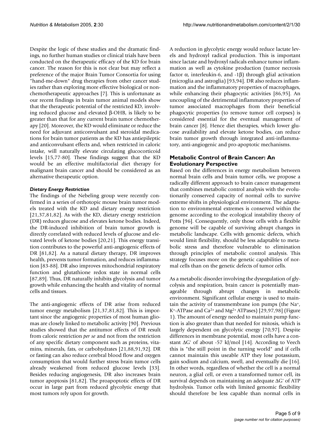Despite the logic of these studies and the dramatic findings, no further human studies or clinical trials have been conducted on the therapeutic efficacy of the KD for brain cancer. The reason for this is not clear but may reflect a preference of the major Brain Tumor Consortia for using "hand-me-down" drug therapies from other cancer studies rather than exploring more effective biological or nonchemotherapeutic approaches [7]. This is unfortunate as our recent findings in brain tumor animal models show that the therapeutic potential of the restricted KD, involving reduced glucose and elevated β-OHB, is likely to be greater than that for any current brain tumor chemotherapy [20]. Moreover, the KD would eliminate or reduce the need for adjuvant anticonvulsant and steroidal medications for brain tumor patients as the KD has antiepileptic and anticonvulsant effects and, when restricted in caloric intake, will naturally elevate circulating glucocorticoid levels [15,77-80]. These findings suggest that the KD would be an effective multifactorial diet therapy for malignant brain cancer and should be considered as an alternative therapeutic option.

### *Dietary Energy Restriction*

The findings of the Nebeling group were recently confirmed in a series of orthotopic mouse brain tumor models treated with the KD and dietary energy restriction [21,37,81,82]. As with the KD, dietary energy restriction (DR) reduces glucose and elevates ketone bodies. Indeed, the DR-induced inhibition of brain tumor growth is directly correlated with reduced levels of glucose and elevated levels of ketone bodies [20,21]. This energy transition contributes to the powerful anti-angiogenic effects of DR [81,82]. As a natural dietary therapy, DR improves health, prevents tumor formation, and reduces inflammation [83-88]. DR also improves mitochondrial respiratory function and glutathione redox state in normal cells [87,89]. Thus, DR naturally inhibits glycolysis and tumor growth while enhancing the health and vitality of normal cells and tissues.

The anti-angiogenic effects of DR arise from reduced tumor energy metabolism [21,37,81,82]. This is important since the angiogenic properties of most human gliomas are closely linked to metabolic activity [90]. Previous studies showed that the antitumor effects of DR result from caloric restriction *per se* and not from the restriction of any specific dietary component such as proteins, vitamins, minerals, fats, or carbohydrates [21,88,91,92]. DR or fasting can also reduce cerebral blood flow and oxygen consumption that would further stress brain tumor cells already weakened from reduced glucose levels [33]. Besides reducing angiogenesis, DR also increases brain tumor apoptosis [81,82]. The proapoptotic effects of DR occur in large part from reduced glycolytic energy that most tumors rely upon for growth.

A reduction in glycolytic energy would reduce lactate levels and hydroxyl radical production. This is important since lactate and hydroxyl radicals enhance tumor inflammation as well as cytokine production (tumor necrosis factor α, interleukin-6, and -1β) through glial activation (microglia and astroglia) [93,94]. DR also reduces inflammation and the inflammatory properties of macrophages, while enhancing their phagocytic activities [86,95]. An uncoupling of the detrimental inflammatory properties of tumor associated macrophages from their beneficial phagocytic properties (to remove tumor cell corpses) is considered essential for the eventual management of brain cancer [8]. Hence diet therapies, which lower glucose availability and elevate ketone bodies, can reduce brain tumor growth through integrated anti-inflammatory, anti-angiogenic and pro-apoptotic mechanisms.

# **Metabolic Control of Brain Cancer: An Evolutionary Perspective**

Based on the differences in energy metabolism between normal brain cells and brain tumor cells, we propose a radically different approach to brain cancer management that combines metabolic control analysis with the evolutionarily conserved capacity of normal cells to survive extreme shifts in physiological environment. The adaptation to environmental extremes is conserved within the genome according to the ecological instability theory of Potts [96]. Consequently, only those cells with a flexible genome will be capable of surviving abrupt changes in metabolic landscape. Cells with genomic defects, which would limit flexibility, should be less adaptable to metabolic stress and therefore vulnerable to elimination through principles of metabolic control analysis. This strategy focuses more on the genetic capabilities of normal cells than on the genetic defects of tumor cells.

As a metabolic disorder involving the dysregulation of glycolysis and respiration, brain cancer is potentially manageable through abrupt changes in metabolic environment. Significant cellular energy is used to maintain the activity of transmembrane ion pumps (the Na+, K+-ATPase and Ca2+ and Mg2+ ATPases) [29,97,98] (Figure [1](#page-3-0)). The amount of energy needed to maintain pump function is also greater than that needed for mitosis, which is largely dependent on glycolytic energy [70,97]. Despite differences in membrane potential, most cells have a constant ΔG' of about -57 kJ/mol [14]. According to Veech this is "the still point in the turning world" and if cells cannot maintain this useable ATP they lose potassium, gain sodium and calcium, swell, and eventually die [16]. In other words, regardless of whether the cell is a normal neuron, a glial cell, or even a transformed tumor cell, its survival depends on maintaining an adequate ∆G' of ATP hydrolysis. Tumor cells with limited genomic flexibility should therefore be less capable than normal cells in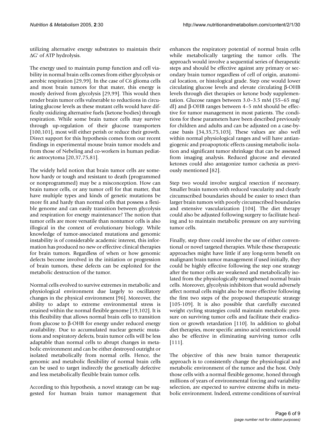utilizing alternative energy substrates to maintain their ∆G' of ATP hydrolysis.

The energy used to maintain pump function and cell viability in normal brain cells comes from either glycolysis or aerobic respiration [29,99]. In the case of C6 glioma cells and most brain tumors for that mater, this energy is mostly derived from glycolysis [29,99]. This would then render brain tumor cells vulnerable to reductions in circulating glucose levels as these mutant cells would have difficulty oxidizing alternative fuels (ketone bodies) through respiration. While some brain tumor cells may survive through up-regulation of their glucose transporters [100,101], most will either perish or reduce their growth. Direct support for this hypothesis comes from our recent findings in experimental mouse brain tumor models and from those of Nebeling and co-workers in human pediatric astrocytoma [20,37,75,81].

The widely held notion that brain tumor cells are somehow hardy or tough and resistant to death (programmed or nonprogrammed) may be a misconception. How can brain tumor cells, or any tumor cell for that matter, that have multiple types and kinds of genetic mutations be more fit and hardy than normal cells that possess a flexible genome and can easily transition between glycolysis and respiration for energy maintenance? The notion that tumor cells are more versatile than nontumor cells is also illogical in the context of evolutionary biology. While knowledge of tumor-associated mutations and genomic instability is of considerable academic interest, this information has produced no new or effective clinical therapies for brain tumors. Regardless of when or how genomic defects become involved in the initiation or progression of brain tumors, these defects can be exploited for the metabolic destruction of the tumor.

Normal cells evolved to survive extremes in metabolic and physiological environment due largely to oscillatory changes in the physical environment [96]. Moreover, the ability to adapt to extreme environmental stress is retained within the normal flexible genome [19,102]. It is this flexibility that allows normal brain cells to transition from glucose to β-OHB for energy under reduced energy availability. Due to accumulated nuclear genetic mutations and respiratory defects, brain tumor cells will be less adaptable than normal cells to abrupt changes in metabolic environment and can be either destroyed outright or isolated metabolically from normal cells. Hence, the genomic and metabolic flexibility of normal brain cells can be used to target indirectly the genetically defective and less metabolically flexible brain tumor cells.

According to this hypothesis, a novel strategy can be suggested for human brain tumor management that enhances the respiratory potential of normal brain cells while metabolically targeting the tumor cells. The approach would involve a sequential series of therapeutic steps and should be effective against any primary or secondary brain tumor regardless of cell of origin, anatomical location, or histological grade. Step one would lower circulating glucose levels and elevate circulating β-OHB levels through diet therapies or ketone body supplementation. Glucose ranges between 3.0–3.5 mM (55–65 mg/ dl) and β-OHB ranges between 4–5 mM should be effective for tumor management in most patients. The conditions for these parameters have been described previously for children and adults and can be adjusted on a case-bycase basis [34,35,75,103]. These values are also well within normal physiological ranges and will have antiangiogenic and proapoptotic effects causing metabolic isolation and significant tumor shrinkage that can be assessed from imaging analysis. Reduced glucose and elevated ketones could also antagonize tumor cachexia as previously mentioned [82].

Step two would involve surgical resection if necessary. Smaller brain tumors with reduced vascularity and clearly circumscribed boundaries should be easier to resect than larger brain tumors with poorly circumscribed boundaries and extensive vascularization [104]. The diet therapy could also be adjusted following surgery to facilitate healing and to maintain metabolic pressure on any surviving tumor cells.

Finally, step three could involve the use of either conventional or novel targeted therapies. While these therapeutic approaches might have little if any long-term benefit on malignant brain tumor management if used initially, they could be highly effective following the step one strategy after the tumor cells are weakened and metabolically isolated from the physiologically strengthened normal brain cells. Moreover, glycolysis inhibitors that would adversely affect normal cells might also be more effective following the first two steps of the proposed therapeutic strategy [105-109]. It is also possible that carefully executed weight cycling strategies could maintain metabolic pressure on surviving tumor cells and facilitate their eradication or growth retardation [110]. In addition to global diet therapies, more specific amino acid restrictions could also be effective in eliminating surviving tumor cells [111].

The objective of this new brain tumor therapeutic approach is to consistently change the physiological and metabolic environment of the tumor and the host. Only those cells with a normal flexible genome, honed through millions of years of environmental forcing and variability selection, are expected to survive extreme shifts in metabolic environment. Indeed, extreme conditions of survival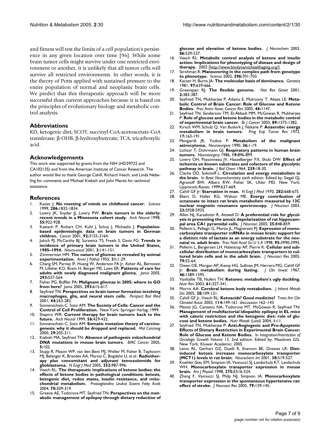and fitness will test the limits of a cell population's persistence in any given location over time [96]. While some brain tumor cells might survive under one restricted environment or another, it is unlikely that all tumor cells will survive all restricted environments. In other words, it is the theory of Potts applied with sustained pressure to the entire population of normal and neoplastic brain cells. We predict that this therapeutic approach will be more successful than current approaches because it is based on the principles of evolutionary biology and metabolic control analysis.

#### **Abbreviations**

KD, ketogenic diet; SCOT, succinyl-CoA-acetoacetate-CoA transferase; β-OHB, β-hydroxybutyrate; TCA, tricarboxylic acid.

#### **Acknowledgements**

This work was supported by grants from the NIH (HD39722 and CA102135) and from the American Institute of Cancer Research. The author would like to thank George Cahill, Richard Veech, and Linda Nebeling for comments and Michael Kiebish and John Mantis for technical assistance.

#### **References**

- 1. Kaiser J: **[No meeting of minds on childhood cancer.](http://www.ncbi.nlm.nih.gov/entrez/query.fcgi?cmd=Retrieve&db=PubMed&dopt=Abstract&list_uids=10610570)** *Science* 1999, **286:**1832-1834.
- 2. Lowry JK, Snyder JJ, Lowry PW: **[Brain tumors in the elderly:](http://www.ncbi.nlm.nih.gov/entrez/query.fcgi?cmd=Retrieve&db=PubMed&dopt=Abstract&list_uids=9678309) [recent trends in a Minnesota cohort study.](http://www.ncbi.nlm.nih.gov/entrez/query.fcgi?cmd=Retrieve&db=PubMed&dopt=Abstract&list_uids=9678309)** *Arch Neurol* 1998, **55:**922-928.
- 3. Kaatsch P, Rickert CH, Kuhl J, Schuz J, Michaelis J: **[Population](http://www.ncbi.nlm.nih.gov/entrez/query.fcgi?cmd=Retrieve&db=PubMed&dopt=Abstract&list_uids=11753995)[based epidemiologic data on brain tumors in German](http://www.ncbi.nlm.nih.gov/entrez/query.fcgi?cmd=Retrieve&db=PubMed&dopt=Abstract&list_uids=11753995) [children.](http://www.ncbi.nlm.nih.gov/entrez/query.fcgi?cmd=Retrieve&db=PubMed&dopt=Abstract&list_uids=11753995)** *Cancer* 2001, **92:**3155-3164.
- 4. Jukich PJ, McCarthy BJ, Surawicz TS, Freels S, Davis FG: **[Trends in](http://www.ncbi.nlm.nih.gov/entrez/query.fcgi?cmd=Retrieve&db=PubMed&dopt=Abstract&list_uids=11465394) [incidence of primary brain tumors in the United States,](http://www.ncbi.nlm.nih.gov/entrez/query.fcgi?cmd=Retrieve&db=PubMed&dopt=Abstract&list_uids=11465394) [1985–1994.](http://www.ncbi.nlm.nih.gov/entrez/query.fcgi?cmd=Retrieve&db=PubMed&dopt=Abstract&list_uids=11465394)** *Neuro-oncol* 2001, **3:**141-151.
- 5. Zimmerman HM: **The nature of gliomas as revealed by animal experimentation.** *Amer J Pathol* 1955, **31:**1-29.
- 6. Chang SM, Parney IF, Huang W, Anderson FA Jr, Asher AL, Bernstein M, Lillehei KO, Brem H, Berger MS, Laws ER: **[Patterns of care for](http://www.ncbi.nlm.nih.gov/entrez/query.fcgi?cmd=Retrieve&db=PubMed&dopt=Abstract&list_uids=15687310) [adults with newly diagnosed malignant glioma.](http://www.ncbi.nlm.nih.gov/entrez/query.fcgi?cmd=Retrieve&db=PubMed&dopt=Abstract&list_uids=15687310)** *Jama* 2005, **293:**557-564.
- 7. Fisher PG, Buffler PA: **[Malignant gliomas in 2005: where to GO](http://www.ncbi.nlm.nih.gov/entrez/query.fcgi?cmd=Retrieve&db=PubMed&dopt=Abstract&list_uids=15687318) [from here?](http://www.ncbi.nlm.nih.gov/entrez/query.fcgi?cmd=Retrieve&db=PubMed&dopt=Abstract&list_uids=15687318)** *Jama* 2005, **293:**615-617.
- 8. Seyfried TN: **[Perspectives on brain tumor formation involving](http://www.ncbi.nlm.nih.gov/entrez/query.fcgi?cmd=Retrieve&db=PubMed&dopt=Abstract&list_uids=11370160) [macrophages, glia, and neural stem cells.](http://www.ncbi.nlm.nih.gov/entrez/query.fcgi?cmd=Retrieve&db=PubMed&dopt=Abstract&list_uids=11370160)** *Perspect Biol Med* 2001, **44:**263-282.
- 9. Sonnenschein C, Soto AM: **The Society of Cells: Cancer and the Control of Cell Proliferation.** New York: Springer-Verlag; 1999.
- 10. Shapiro WR: **[Current therapy for brain tumors: back to the](http://www.ncbi.nlm.nih.gov/entrez/query.fcgi?cmd=Retrieve&db=PubMed&dopt=Abstract&list_uids=10199330) [future.](http://www.ncbi.nlm.nih.gov/entrez/query.fcgi?cmd=Retrieve&db=PubMed&dopt=Abstract&list_uids=10199330)** *Arch Neurol* 1999, **56:**429-432.
- 11. Sonnenschein C, Soto AM: **[Somatic mutation theory of carcino](http://www.ncbi.nlm.nih.gov/entrez/query.fcgi?cmd=Retrieve&db=PubMed&dopt=Abstract&list_uids=11170258)[genesis: why it should be dropped and replaced.](http://www.ncbi.nlm.nih.gov/entrez/query.fcgi?cmd=Retrieve&db=PubMed&dopt=Abstract&list_uids=11170258)** *Mol Carcinog* 2000, **29:**205-211.
- 12. Kiebish MA, Seyfried TN: **[Absence of pathogenic mitochondrial](http://www.ncbi.nlm.nih.gov/entrez/query.fcgi?cmd=Retrieve&db=PubMed&dopt=Abstract&list_uids=16105171) [DNA mutations in mouse brain tumors.](http://www.ncbi.nlm.nih.gov/entrez/query.fcgi?cmd=Retrieve&db=PubMed&dopt=Abstract&list_uids=16105171)** *BMC Cancer* 2005, **5:**102.
- 13. Stupp R, Mason WP, van den Bent MJ, Weller M, Fisher B, Taphoorn MJ, Belanger K, Brandes AA, Marosi C, Bogdahn U, *et al.*: **[Radiother](http://www.ncbi.nlm.nih.gov/entrez/query.fcgi?cmd=Retrieve&db=PubMed&dopt=Abstract&list_uids=15758009)[apy plus concomitant and adjuvant temozolomide for](http://www.ncbi.nlm.nih.gov/entrez/query.fcgi?cmd=Retrieve&db=PubMed&dopt=Abstract&list_uids=15758009) [glioblastoma.](http://www.ncbi.nlm.nih.gov/entrez/query.fcgi?cmd=Retrieve&db=PubMed&dopt=Abstract&list_uids=15758009)** *N Engl J Med* 2005, **352:**987-996.
- 14. Veech RL: **[The therapeutic implications of ketone bodies: the](http://www.ncbi.nlm.nih.gov/entrez/query.fcgi?cmd=Retrieve&db=PubMed&dopt=Abstract&list_uids=14769489) effects of ketone bodies in pathological conditions: ketosis, [ketogenic diet, redox states, insulin resistance, and mito](http://www.ncbi.nlm.nih.gov/entrez/query.fcgi?cmd=Retrieve&db=PubMed&dopt=Abstract&list_uids=14769489)[chondrial metabolism.](http://www.ncbi.nlm.nih.gov/entrez/query.fcgi?cmd=Retrieve&db=PubMed&dopt=Abstract&list_uids=14769489)** *Prostaglandins Leukot Essent Fatty Acids* 2004, **70:**309-319.
- 15. Greene AE, Todorova MT, Seyfried TN: **[Perspectives on the met](http://www.ncbi.nlm.nih.gov/entrez/query.fcgi?cmd=Retrieve&db=PubMed&dopt=Abstract&list_uids=12859666)[abolic management of epilepsy through dietary reduction of](http://www.ncbi.nlm.nih.gov/entrez/query.fcgi?cmd=Retrieve&db=PubMed&dopt=Abstract&list_uids=12859666)**

**[glucose and elevation of ketone bodies.](http://www.ncbi.nlm.nih.gov/entrez/query.fcgi?cmd=Retrieve&db=PubMed&dopt=Abstract&list_uids=12859666)** *J Neurochem* 2003, **86:**529-537.

- 16. Veech RL: **Metabolic control analysis of ketone and insulin action: Implications for phenotyping of disease and design of therapy.** 2002 [\[http://www.biodynamichealthaging.org/](http://www.biodynamichealthaging.org/)].
- 17. Strohman R: **[Maneuvering in the complex path from genotype](http://www.ncbi.nlm.nih.gov/entrez/query.fcgi?cmd=Retrieve&db=PubMed&dopt=Abstract&list_uids=11976445) [to phenotype.](http://www.ncbi.nlm.nih.gov/entrez/query.fcgi?cmd=Retrieve&db=PubMed&dopt=Abstract&list_uids=11976445)** *Science* 2002, **296:**701-703.
- 18. Kacser H, Burns JA: **[The molecular basis of dominance.](http://www.ncbi.nlm.nih.gov/entrez/query.fcgi?cmd=Retrieve&db=PubMed&dopt=Abstract&list_uids=7297851)** *Genetics* 1981, **97:**639-666.
- 19. Greenspan RJ: **[The flexible genome.](http://www.ncbi.nlm.nih.gov/entrez/query.fcgi?cmd=Retrieve&db=PubMed&dopt=Abstract&list_uids=11331904)** *Nat Rev Genet* 2001, **2:**383-387.
- 20. Seyfried TN, Mukherjee P, Adams E, Mulroony T, Abate LE: **Metabolic Control of Brain Cancer: Role of Glucose and Ketone Bodies.** *Proc Amer Assoc Cancer Res* 2005, **46:**1147.
- 21. Seyfried TN, Sanderson TM, El-Abbadi MM, McGowan R, Mukherjee P: **[Role of glucose and ketone bodies in the metabolic control](http://www.ncbi.nlm.nih.gov/entrez/query.fcgi?cmd=Retrieve&db=PubMed&dopt=Abstract&list_uids=14520474) [of experimental brain cancer.](http://www.ncbi.nlm.nih.gov/entrez/query.fcgi?cmd=Retrieve&db=PubMed&dopt=Abstract&list_uids=14520474)** *Br J Cancer* 2003, **89:**1375-1382.
- 22. Kirsch WM, Schulz Q, Van Buskirk J, Nakane P: **[Anaerobic energy](http://www.ncbi.nlm.nih.gov/entrez/query.fcgi?cmd=Retrieve&db=PubMed&dopt=Abstract&list_uids=4343199) [metabolism in brain tumors.](http://www.ncbi.nlm.nih.gov/entrez/query.fcgi?cmd=Retrieve&db=PubMed&dopt=Abstract&list_uids=4343199)** *Prog Exp Tumor Res* 1972, **17:**163-191.
- 23. Mangiardi JR, Yodice P: **[Metabolism of the malignant](http://www.ncbi.nlm.nih.gov/entrez/query.fcgi?cmd=Retrieve&db=PubMed&dopt=Abstract&list_uids=2403663) [astrocytoma.](http://www.ncbi.nlm.nih.gov/entrez/query.fcgi?cmd=Retrieve&db=PubMed&dopt=Abstract&list_uids=2403663)** *Neurosurgery* 1990, **26:**1-19.
- 24. Lichtor T, Dohrmann GJ: **[Respiratory patterns in human brain](http://www.ncbi.nlm.nih.gov/entrez/query.fcgi?cmd=Retrieve&db=PubMed&dopt=Abstract&list_uids=3027607) [tumors.](http://www.ncbi.nlm.nih.gov/entrez/query.fcgi?cmd=Retrieve&db=PubMed&dopt=Abstract&list_uids=3027607)** *Neurosurgery* 1986, **19:**896-899.
- 25. Lowry OH, Passonneau JV, Hasselberger FX, Shulz DW: **[Effect of](http://www.ncbi.nlm.nih.gov/entrez/query.fcgi?cmd=Retrieve&db=PubMed&dopt=Abstract&list_uids=14114842) [ischemia on known substrates and cofactors of the glycolytic](http://www.ncbi.nlm.nih.gov/entrez/query.fcgi?cmd=Retrieve&db=PubMed&dopt=Abstract&list_uids=14114842) [pathway in brain.](http://www.ncbi.nlm.nih.gov/entrez/query.fcgi?cmd=Retrieve&db=PubMed&dopt=Abstract&list_uids=14114842)** *J Biol Chem* 1964, **239:**18-30.
- 26. Clarke DD, Sokoloff L: **Circulation and energy metabolism in the brain.** In *Basic Neurochemistry* sixth edition. Edited by: Siegel GJ, Agranoff BW, Albers RW, Fisher SK, Uhler MD. New York: Lippincott-Raven; 1999:637-669.
- 27. Cahill GF Jr: **[Starvation in man.](http://www.ncbi.nlm.nih.gov/entrez/query.fcgi?cmd=Retrieve&db=PubMed&dopt=Abstract&list_uids=4915800)** *N Engl J Med* 1970, **282:**668-675.
- 28. Ebert D, Haller RG, Walton ME: **[Energy contribution of](http://www.ncbi.nlm.nih.gov/entrez/query.fcgi?cmd=Retrieve&db=PubMed&dopt=Abstract&list_uids=12843297) [octanoate to intact rat brain metabolism measured by 13C](http://www.ncbi.nlm.nih.gov/entrez/query.fcgi?cmd=Retrieve&db=PubMed&dopt=Abstract&list_uids=12843297) [nuclear magnetic resonance spectroscopy.](http://www.ncbi.nlm.nih.gov/entrez/query.fcgi?cmd=Retrieve&db=PubMed&dopt=Abstract&list_uids=12843297)** *J Neurosci* 2003, **23:**5928-5935.
- 29. Allen NJ, Karadottir R, Attwell D: **[A preferential role for glycol](http://www.ncbi.nlm.nih.gov/entrez/query.fcgi?cmd=Retrieve&db=PubMed&dopt=Abstract&list_uids=15673665)[ysis in preventing the anoxic depolarization of rat hippocam](http://www.ncbi.nlm.nih.gov/entrez/query.fcgi?cmd=Retrieve&db=PubMed&dopt=Abstract&list_uids=15673665)[pal area CA1 pyramidal cells.](http://www.ncbi.nlm.nih.gov/entrez/query.fcgi?cmd=Retrieve&db=PubMed&dopt=Abstract&list_uids=15673665)** *J Neurosci* 2005, **25:**848-859.
- 30. Pellerin L, Pellegri G, Martin JL, Magistretti PJ: **[Expression of mono](http://www.ncbi.nlm.nih.gov/entrez/query.fcgi?cmd=Retrieve&db=PubMed&dopt=Abstract&list_uids=9520480)carboxylate transporter mRNAs in mouse brain: support for [a distinct role of lactate as an energy substrate for the neo](http://www.ncbi.nlm.nih.gov/entrez/query.fcgi?cmd=Retrieve&db=PubMed&dopt=Abstract&list_uids=9520480)[natal vs. adult brain.](http://www.ncbi.nlm.nih.gov/entrez/query.fcgi?cmd=Retrieve&db=PubMed&dopt=Abstract&list_uids=9520480)** *Proc Natl Acad Sci U S A* 1998, **95:**3990-3995.
- 31. Pellerin L, Bergersen LH, Halestrap AP, Pierre K: **[Cellular and sub](http://www.ncbi.nlm.nih.gov/entrez/query.fcgi?cmd=Retrieve&db=PubMed&dopt=Abstract&list_uids=15573400)[cellular distribution of monocarboxylate transporters in cul](http://www.ncbi.nlm.nih.gov/entrez/query.fcgi?cmd=Retrieve&db=PubMed&dopt=Abstract&list_uids=15573400)[tured brain cells and in the adult brain.](http://www.ncbi.nlm.nih.gov/entrez/query.fcgi?cmd=Retrieve&db=PubMed&dopt=Abstract&list_uids=15573400)** *J Neurosci Res* 2005, **79:**55-64.
- 32. Owen OE, Morgan AP, Kemp HG, Sullivan JM, Herrera MG, Cahill GF Jr: **[Brain metabolism during fasting.](http://www.ncbi.nlm.nih.gov/entrez/query.fcgi?cmd=Retrieve&db=PubMed&dopt=Abstract&list_uids=6061736)** *J Clin Invest* 1967, **46:**1589-1595.
- 33. VanItallie TB, Nufert TH: **[Ketones: metabolism's ugly duckling.](http://www.ncbi.nlm.nih.gov/entrez/query.fcgi?cmd=Retrieve&db=PubMed&dopt=Abstract&list_uids=14604265)** *Nutr Rev* 2003, **61:**327-341.
- 34. Morris AA: **[Cerebral ketone body metabolism.](http://www.ncbi.nlm.nih.gov/entrez/query.fcgi?cmd=Retrieve&db=PubMed&dopt=Abstract&list_uids=15877199)** *J Inherit Metab Dis* 2005, **28:**109-121.
- 35. Cahill GF Jr, Veech RL: **[Ketoacids? Good medicine?](http://www.ncbi.nlm.nih.gov/entrez/query.fcgi?cmd=Retrieve&db=PubMed&dopt=Abstract&list_uids=12813917)** *Trans Am Clin Climatol Assoc* 2003, **114:**149-161. discussion 162–143
- 36. Mantis JG, Centeno NA, Todorova MT, McGowan R, Seyfried TN: **Management of multifactorial idiopathic epilepsy in EL mice [with caloric restriction and the ketogenic diet: role of glu](http://www.ncbi.nlm.nih.gov/entrez/query.fcgi?cmd=Retrieve&db=PubMed&dopt=Abstract&list_uids=15507133)[cose and ketone bodies.](http://www.ncbi.nlm.nih.gov/entrez/query.fcgi?cmd=Retrieve&db=PubMed&dopt=Abstract&list_uids=15507133)** *Nutr Metab (Lond)* 2004, **1:**11.
- 37. Seyfried TN, Mukherjee P: **Anti-Angiogenic and Pro-Apoptotic Effects of Dietary Restriction in Experimental Brain Cancer: Role of Glucose and Ketone Bodies.** In *Integration/Interaction of Oncologic Growth Volume 15*. 2nd edition. Edited by: Meadows GG. New York: Kluwer Academic; 2005.
- 38. Leino RL, Gerhart DZ, Duelli R, Enerson BE, Drewes LR: **[Diet](http://www.ncbi.nlm.nih.gov/entrez/query.fcgi?cmd=Retrieve&db=PubMed&dopt=Abstract&list_uids=11248400)[induced ketosis increases monocarboxylate transporter](http://www.ncbi.nlm.nih.gov/entrez/query.fcgi?cmd=Retrieve&db=PubMed&dopt=Abstract&list_uids=11248400) [\(MCT1\) levels in rat brain.](http://www.ncbi.nlm.nih.gov/entrez/query.fcgi?cmd=Retrieve&db=PubMed&dopt=Abstract&list_uids=11248400)** *Neurochem Int* 2001, **38:**519-527.
- 39. Koehler-Stec EM, Simpson IA, Vannucci SJ, Landschulz KT, Landschulz WH: **[Monocarboxylate transporter expression in mouse](http://www.ncbi.nlm.nih.gov/entrez/query.fcgi?cmd=Retrieve&db=PubMed&dopt=Abstract&list_uids=9725820) [brain.](http://www.ncbi.nlm.nih.gov/entrez/query.fcgi?cmd=Retrieve&db=PubMed&dopt=Abstract&list_uids=9725820)** *Am J Physiol* 1998, **275:**E516-524.
- 40. Zhang F, Vannucci SJ, Philp NJ, Simpson IA: **[Monocarboxylate](http://www.ncbi.nlm.nih.gov/entrez/query.fcgi?cmd=Retrieve&db=PubMed&dopt=Abstract&list_uids=15578721) [transporter expression in the spontaneous hypertensive rat:](http://www.ncbi.nlm.nih.gov/entrez/query.fcgi?cmd=Retrieve&db=PubMed&dopt=Abstract&list_uids=15578721) [effect of stroke.](http://www.ncbi.nlm.nih.gov/entrez/query.fcgi?cmd=Retrieve&db=PubMed&dopt=Abstract&list_uids=15578721)** *J Neurosci Res* 2005, **79:**139-145.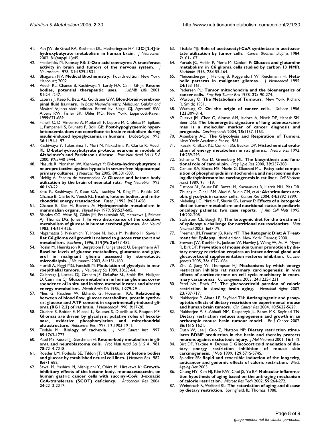- 41. Pan JW, de Graaf RA, Rothman DL, Hetherington HP: **13C-[2,4]-bhydroxybutyrate metabolism in human brain.** *J Neurochem* 2002, **81(suppl 1):**45.
- 42. Fredericks M, Ramsey RB: **[3-Oxo acid coenzyme A transferase](http://www.ncbi.nlm.nih.gov/entrez/query.fcgi?cmd=Retrieve&db=PubMed&dopt=Abstract&list_uids=298319) [activity in brain and tumors of the nervous system.](http://www.ncbi.nlm.nih.gov/entrez/query.fcgi?cmd=Retrieve&db=PubMed&dopt=Abstract&list_uids=298319)** *J Neurochem* 1978, **31:**1529-1531.
- 43. Bhagavan NV: **Medical Biochemistry.** Fourth edition. New York: Harcourt; 2002.
- 44. Veech RL, Chance B, Kashiwaya Y, Lardy HA, Cahill GF Jr: **[Ketone](http://www.ncbi.nlm.nih.gov/entrez/query.fcgi?cmd=Retrieve&db=PubMed&dopt=Abstract&list_uids=11569918) [bodies, potential therapeutic uses.](http://www.ncbi.nlm.nih.gov/entrez/query.fcgi?cmd=Retrieve&db=PubMed&dopt=Abstract&list_uids=11569918) 51:**241-247.
- 45. Laterra J, Keep R, Betz AL, Goldstein GW: **Blood-brain-cerebrospinal fluid barriers.** In *Basic Neurochemistry: Molecular, Cellular and Medical Aspects* sixth edition. Edited by: Siegel GJ, Agranoff BW, Albers RW, Fisher SK, Uhler MD. New York: Lippincott-Raven; 1999:671-689.
- 46. Fanelli C, Di Vincenzo A, Modarelli F, Lepore M, Ciofetta M, Epifano L, Pampanelli S, Brunetti P, Bolli GB: **[Post-hypoglycaemic hyper](http://www.ncbi.nlm.nih.gov/entrez/query.fcgi?cmd=Retrieve&db=PubMed&dopt=Abstract&list_uids=8270135)[ketonaemia does not contribute to brain metabolism during](http://www.ncbi.nlm.nih.gov/entrez/query.fcgi?cmd=Retrieve&db=PubMed&dopt=Abstract&list_uids=8270135) [insulin-induced hypoglycaemia in humans.](http://www.ncbi.nlm.nih.gov/entrez/query.fcgi?cmd=Retrieve&db=PubMed&dopt=Abstract&list_uids=8270135)** *Diabetologia* 1993, **36:**1191-1197.
- Kashiwaya Y, Takeshima T, Mori N, Nakashima K, Clarke K, Veech RL: **[D-beta-hydroxybutyrate protects neurons in models of](http://www.ncbi.nlm.nih.gov/entrez/query.fcgi?cmd=Retrieve&db=PubMed&dopt=Abstract&list_uids=10805800) [Alzheimer's and Parkinson's disease.](http://www.ncbi.nlm.nih.gov/entrez/query.fcgi?cmd=Retrieve&db=PubMed&dopt=Abstract&list_uids=10805800)** *Proc Natl Acad Sci U S A* 2000, **97:**5440-5444.
- 48. Masuda R, Monahan JW, Kashiwaya Y: **[D-beta-hydroxybutyrate is](http://www.ncbi.nlm.nih.gov/entrez/query.fcgi?cmd=Retrieve&db=PubMed&dopt=Abstract&list_uids=15825191) [neuroprotective against hypoxia in serum-free hippocampal](http://www.ncbi.nlm.nih.gov/entrez/query.fcgi?cmd=Retrieve&db=PubMed&dopt=Abstract&list_uids=15825191) [primary cultures.](http://www.ncbi.nlm.nih.gov/entrez/query.fcgi?cmd=Retrieve&db=PubMed&dopt=Abstract&list_uids=15825191)** *J Neurosci Res* 2005, **80:**501-509.
- 49. Nehlig A, Pereira de Vasconcelos A: **[Glucose and ketone body](http://www.ncbi.nlm.nih.gov/entrez/query.fcgi?cmd=Retrieve&db=PubMed&dopt=Abstract&list_uids=8430212) [utilization by the brain of neonatal rats.](http://www.ncbi.nlm.nih.gov/entrez/query.fcgi?cmd=Retrieve&db=PubMed&dopt=Abstract&list_uids=8430212)** *Prog Neurobiol* 1993, **40:**163-221.
- Sato K, Kashiwaya Y, Keon CA, Tsuchiya N, King MT, Radda GK, Chance B, Clarke K, Veech RL: **[Insulin, ketone bodies, and mito](http://www.ncbi.nlm.nih.gov/entrez/query.fcgi?cmd=Retrieve&db=PubMed&dopt=Abstract&list_uids=7768357)[chondrial energy transduction.](http://www.ncbi.nlm.nih.gov/entrez/query.fcgi?cmd=Retrieve&db=PubMed&dopt=Abstract&list_uids=7768357)** *Faseb J* 1995, **9:**651-658.
- 51. Chance B, Sies H, Boveris A: **[Hydroperoxide metabolism in](http://www.ncbi.nlm.nih.gov/entrez/query.fcgi?cmd=Retrieve&db=PubMed&dopt=Abstract&list_uids=37532) [mammalian organs.](http://www.ncbi.nlm.nih.gov/entrez/query.fcgi?cmd=Retrieve&db=PubMed&dopt=Abstract&list_uids=37532)** *Physiol Rev* 1979, **59:**527-605.
- Rhodes CG, Wise RJ, Gibbs JM, Frackowiak RS, Hatazawa J, Palmer AJ, Thomas DG, Jones T: **[In vivo disturbance of the oxidative](http://www.ncbi.nlm.nih.gov/entrez/query.fcgi?cmd=Retrieve&db=PubMed&dopt=Abstract&list_uids=6606389) [metabolism of glucose in human cerebral gliomas.](http://www.ncbi.nlm.nih.gov/entrez/query.fcgi?cmd=Retrieve&db=PubMed&dopt=Abstract&list_uids=6606389)** *Ann Neurol* 1983, **14:**614-626.
- 53. Nagamatsu S, Nakamichi Y, Inoue N, Inoue M, Nishino H, Sawa H: **[Rat C6 glioma cell growth is related to glucose transport and](http://www.ncbi.nlm.nih.gov/entrez/query.fcgi?cmd=Retrieve&db=PubMed&dopt=Abstract&list_uids=8912684) [metabolism.](http://www.ncbi.nlm.nih.gov/entrez/query.fcgi?cmd=Retrieve&db=PubMed&dopt=Abstract&list_uids=8912684)** *Biochem J* 1996, **319(Pt 2):**477-482.
- 54. Roslin M, Henriksson R, Bergstrom P, Ungerstedt U, Bergenheim AT: **Baseline levels of glucose metabolites, glutamate and glyc[erol in malignant glioma assessed by stereotactic](http://www.ncbi.nlm.nih.gov/entrez/query.fcgi?cmd=Retrieve&db=PubMed&dopt=Abstract&list_uids=12622454) [microdialysis.](http://www.ncbi.nlm.nih.gov/entrez/query.fcgi?cmd=Retrieve&db=PubMed&dopt=Abstract&list_uids=12622454)** *J Neurooncol* 2003, **61:**151-160.
- 55. Floridi A, Paggi MG, Fanciulli M: **[Modulation of glycolysis in neu](http://www.ncbi.nlm.nih.gov/entrez/query.fcgi?cmd=Retrieve&db=PubMed&dopt=Abstract&list_uids=2674359)[roepithelial tumors.](http://www.ncbi.nlm.nih.gov/entrez/query.fcgi?cmd=Retrieve&db=PubMed&dopt=Abstract&list_uids=2674359)** *J Neurosurg Sci* 1989, **33:**55-64.
- 56. Galarraga J, Loreck DJ, Graham JF, DeLaPaz RL, Smith BH, Hallgren D, Cummins C|: [Glucose metabolism in human gliomas: corre](http://www.ncbi.nlm.nih.gov/entrez/query.fcgi?cmd=Retrieve&db=PubMed&dopt=Abstract&list_uids=3508247)**[spondence of in situ and in vitro metabolic rates and altered](http://www.ncbi.nlm.nih.gov/entrez/query.fcgi?cmd=Retrieve&db=PubMed&dopt=Abstract&list_uids=3508247) [energy metabolism.](http://www.ncbi.nlm.nih.gov/entrez/query.fcgi?cmd=Retrieve&db=PubMed&dopt=Abstract&list_uids=3508247)** *Metab Brain Dis* 1986, **1:**279-291.
- 57. Mies G, Paschen W, Ebhardt G, Hossmann KA: **[Relationship](http://www.ncbi.nlm.nih.gov/entrez/query.fcgi?cmd=Retrieve&db=PubMed&dopt=Abstract&list_uids=2213113) between of blood flow, glucose metabolism, protein synthe[sis, glucose and ATP content in experimentally-induced gli](http://www.ncbi.nlm.nih.gov/entrez/query.fcgi?cmd=Retrieve&db=PubMed&dopt=Abstract&list_uids=2213113)[oma \(RG1 2.2\) of rat brain.](http://www.ncbi.nlm.nih.gov/entrez/query.fcgi?cmd=Retrieve&db=PubMed&dopt=Abstract&list_uids=2213113)** *J Neurooncol* 1990, **9:**17-28.
- 58. Oudard S, Boitier E, Miccoli L, Rousset S, Dutrillaux B, Poupon MF: **Gliomas are driven by glycolysis: putative roles of hexoki**nase, oxidative phosphorylation and **[ultrastructure.](http://www.ncbi.nlm.nih.gov/entrez/query.fcgi?cmd=Retrieve&db=PubMed&dopt=Abstract&list_uids=9216643)** *Anticancer Res* 1997, **17:**1903-1911.
- 59. Tisdale MJ: **[Biology of cachexia.](http://www.ncbi.nlm.nih.gov/entrez/query.fcgi?cmd=Retrieve&db=PubMed&dopt=Abstract&list_uids=9392617)** *J Natl Cancer Inst* 1997, **89:**1763-1773.
- 60. Patel MS, Russell JJ, Gershman H: **[Ketone-body metabolism in gli](http://www.ncbi.nlm.nih.gov/entrez/query.fcgi?cmd=Retrieve&db=PubMed&dopt=Abstract&list_uids=6118869)[oma and neuroblastoma cells.](http://www.ncbi.nlm.nih.gov/entrez/query.fcgi?cmd=Retrieve&db=PubMed&dopt=Abstract&list_uids=6118869)** *Proc Natl Acad Sci U S A* 1981, **78:**7214-7218.
- 61. Roeder LM, Poduslo SE, Tildon JT: **[Utilization of ketone bodies](http://www.ncbi.nlm.nih.gov/entrez/query.fcgi?cmd=Retrieve&db=PubMed&dopt=Abstract&list_uids=7161845) [and glucose by established neural cell lines.](http://www.ncbi.nlm.nih.gov/entrez/query.fcgi?cmd=Retrieve&db=PubMed&dopt=Abstract&list_uids=7161845)** *J Neurosci Res* 1982, **8:**671-682.
- 62. Sawai M, Yashiro M, Nishiguchi Y, Ohira M, Hirakawa K: **[Growth](http://www.ncbi.nlm.nih.gov/entrez/query.fcgi?cmd=Retrieve&db=PubMed&dopt=Abstract&list_uids=15330163)inhibitory effects of the ketone body, monoacetoacetin, on [human gastric cancer cells with succinyl-CoA: 3-oxoacid](http://www.ncbi.nlm.nih.gov/entrez/query.fcgi?cmd=Retrieve&db=PubMed&dopt=Abstract&list_uids=15330163) [CoA-transferase \(SCOT\) deficiency.](http://www.ncbi.nlm.nih.gov/entrez/query.fcgi?cmd=Retrieve&db=PubMed&dopt=Abstract&list_uids=15330163)** *Anticancer Res* 2004, **24:**2213-2217.
- 63. Tisdale MJ: **[Role of acetoacetyl-CoA synthetase in acetoace](http://www.ncbi.nlm.nih.gov/entrez/query.fcgi?cmd=Retrieve&db=PubMed&dopt=Abstract&list_uids=6147189)[tate utilization by tumor cells.](http://www.ncbi.nlm.nih.gov/entrez/query.fcgi?cmd=Retrieve&db=PubMed&dopt=Abstract&list_uids=6147189)** *Cancer Biochem Biophys* 1984, **7:**101-107.
- 64. Portais JC, Voisin P, Merle M, Canioni P: **[Glucose and glutamine](http://www.ncbi.nlm.nih.gov/entrez/query.fcgi?cmd=Retrieve&db=PubMed&dopt=Abstract&list_uids=8831946) [metabolism in C6 glioma cells studied by carbon 13 NMR.](http://www.ncbi.nlm.nih.gov/entrez/query.fcgi?cmd=Retrieve&db=PubMed&dopt=Abstract&list_uids=8831946)** *Biochimie* 1996, **78:**155-164.
- 65. Meixensberger J, Herting B, Roggendorf W, Reichmann H: **[Meta](http://www.ncbi.nlm.nih.gov/entrez/query.fcgi?cmd=Retrieve&db=PubMed&dopt=Abstract&list_uids=7562002)[bolic patterns in malignant gliomas.](http://www.ncbi.nlm.nih.gov/entrez/query.fcgi?cmd=Retrieve&db=PubMed&dopt=Abstract&list_uids=7562002)** *J Neurooncol* 1995, **24:**153-161.
- 66. Pedersen PL: **[Tumor mitochondria and the bioenergetics of](http://www.ncbi.nlm.nih.gov/entrez/query.fcgi?cmd=Retrieve&db=PubMed&dopt=Abstract&list_uids=149996) [cancer cells.](http://www.ncbi.nlm.nih.gov/entrez/query.fcgi?cmd=Retrieve&db=PubMed&dopt=Abstract&list_uids=149996)** *Prog Exp Tumor Res* 1978, **22:**190-274.
- 67. Warburg O: **The Metabolism of Tumours.** New York: Richard R. Smith; 1931.
- 68. Warburg O: **[On the origin of cancer cells.](http://www.ncbi.nlm.nih.gov/entrez/query.fcgi?cmd=Retrieve&db=PubMed&dopt=Abstract&list_uids=13298683)** *Science* 1956, **123:**309-314.
- 69. Cuezva JM, Chen G, Alonso AM, Isidore A, Misek DE, Hanash SM, Beer DG: **[The bioenergetic signature of lung adenocarcino](http://www.ncbi.nlm.nih.gov/entrez/query.fcgi?cmd=Retrieve&db=PubMed&dopt=Abstract&list_uids=14963017)[mas is a molecular marker of cancer diagnosis and](http://www.ncbi.nlm.nih.gov/entrez/query.fcgi?cmd=Retrieve&db=PubMed&dopt=Abstract&list_uids=14963017) [prognosis.](http://www.ncbi.nlm.nih.gov/entrez/query.fcgi?cmd=Retrieve&db=PubMed&dopt=Abstract&list_uids=14963017)** *Carcinogenesis* 2004, **25:**1157-1163.
- 70. Aisenberg AC: **The Glycolysis and Respiration of Tumors.** New York: Academic Press; 1961.
- Ikezaki K, Black KL, Conklin SG, Becker DP: [Histochemical evalu](http://www.ncbi.nlm.nih.gov/entrez/query.fcgi?cmd=Retrieve&db=PubMed&dopt=Abstract&list_uids=1360622)**[ation of energy metabolism in rat glioma.](http://www.ncbi.nlm.nih.gov/entrez/query.fcgi?cmd=Retrieve&db=PubMed&dopt=Abstract&list_uids=1360622)** *Neurol Res* 1992, **14:**289-293.
- 72. Schlame M, Rua D, Greenberg ML: **[The biosynthesis and func](http://www.ncbi.nlm.nih.gov/entrez/query.fcgi?cmd=Retrieve&db=PubMed&dopt=Abstract&list_uids=10799718)[tional role of cardiolipin.](http://www.ncbi.nlm.nih.gov/entrez/query.fcgi?cmd=Retrieve&db=PubMed&dopt=Abstract&list_uids=10799718)** *Prog Lipid Res* 2000, **39:**257-288.
- Canuto RA, Biocca ME, Muzio G, Dianzani MU: [Fatty acid compo](http://www.ncbi.nlm.nih.gov/entrez/query.fcgi?cmd=Retrieve&db=PubMed&dopt=Abstract&list_uids=2752533)**[sition of phospholipids in mitochondria and microsomes dur](http://www.ncbi.nlm.nih.gov/entrez/query.fcgi?cmd=Retrieve&db=PubMed&dopt=Abstract&list_uids=2752533)[ing diethylnitrosamine carcinogenesis in rat liver.](http://www.ncbi.nlm.nih.gov/entrez/query.fcgi?cmd=Retrieve&db=PubMed&dopt=Abstract&list_uids=2752533)** *Cell Biochem Funct* 1989, **7:**11-19.
- 74. Elstrom RL, Bauer DE, Buzzai M, Karnauskas R, Harris MH, Plas DR, Zhuang H, Cinalli RM, Alavi A, Rudin CM, *et al.*: **[Akt stimulates aer](http://www.ncbi.nlm.nih.gov/entrez/query.fcgi?cmd=Retrieve&db=PubMed&dopt=Abstract&list_uids=15172999)[obic glycolysis in cancer cells.](http://www.ncbi.nlm.nih.gov/entrez/query.fcgi?cmd=Retrieve&db=PubMed&dopt=Abstract&list_uids=15172999)** *Cancer Res* 2004, **64:**3892-3899.
- 75. Nebeling LC, Miraldi F, Shurin SB, Lerner E: **[Effects of a ketogenic](http://www.ncbi.nlm.nih.gov/entrez/query.fcgi?cmd=Retrieve&db=PubMed&dopt=Abstract&list_uids=7790697) [diet on tumor metabolism and nutritional status in pediatric](http://www.ncbi.nlm.nih.gov/entrez/query.fcgi?cmd=Retrieve&db=PubMed&dopt=Abstract&list_uids=7790697) [oncology patients: two case reports.](http://www.ncbi.nlm.nih.gov/entrez/query.fcgi?cmd=Retrieve&db=PubMed&dopt=Abstract&list_uids=7790697)** *J Am Coll Nutr* 1995, **14:**202-208.
- 76. Stafstrom CE, Bough KJ: **[The ketogenic diet for the treatment](http://www.ncbi.nlm.nih.gov/entrez/query.fcgi?cmd=Retrieve&db=PubMed&dopt=Abstract&list_uids=12722982) [of epilepsy: a challenge for nutritional neuroscientists.](http://www.ncbi.nlm.nih.gov/entrez/query.fcgi?cmd=Retrieve&db=PubMed&dopt=Abstract&list_uids=12722982)** *Nutr Neurosci* 2003, **6:**67-79.
- Freeman JM, Freeman JB, Kelly MT: The Ketogenic Diet: A Treat**ment for Epilepsy.** third edition. New York: Demos; 2000.
- 78. Stewart JW, Koehler K, Jackson W, Hawley J, Wang W, Au A, Myers R, Birt DF: **[Prevention of mouse skin tumor promotion by die](http://www.ncbi.nlm.nih.gov/entrez/query.fcgi?cmd=Retrieve&db=PubMed&dopt=Abstract&list_uids=15746164)[tary energy restriction requires an intact adrenal gland and](http://www.ncbi.nlm.nih.gov/entrez/query.fcgi?cmd=Retrieve&db=PubMed&dopt=Abstract&list_uids=15746164) [glucocorticoid supplementation restores inhibition.](http://www.ncbi.nlm.nih.gov/entrez/query.fcgi?cmd=Retrieve&db=PubMed&dopt=Abstract&list_uids=15746164)** *Carcinogenesis* 2005, **26:**1077-1084.
- 79. Zhu Z, Jiang W, Thompson HJ: **[Mechanisms by which energy](http://www.ncbi.nlm.nih.gov/entrez/query.fcgi?cmd=Retrieve&db=PubMed&dopt=Abstract&list_uids=12807724) restriction inhibits rat mammary carcinogenesis: in vivo [effects of corticosterone on cell cycle machinery in mam](http://www.ncbi.nlm.nih.gov/entrez/query.fcgi?cmd=Retrieve&db=PubMed&dopt=Abstract&list_uids=12807724)[mary carcinomas.](http://www.ncbi.nlm.nih.gov/entrez/query.fcgi?cmd=Retrieve&db=PubMed&dopt=Abstract&list_uids=12807724)** *Carcinogenesis* 2003, **24:**1225-1231.
- 80. Patel NV, Finch CE: **[The glucocorticoid paradox of caloric](http://www.ncbi.nlm.nih.gov/entrez/query.fcgi?cmd=Retrieve&db=PubMed&dopt=Abstract&list_uids=12392776) [restriction in slowing brain aging.](http://www.ncbi.nlm.nih.gov/entrez/query.fcgi?cmd=Retrieve&db=PubMed&dopt=Abstract&list_uids=12392776)** *Neurobiol Aging* 2002, **23:**707-717.
- Mukherjee P, Abate LE, Seyfried TN: [Antiangiogenic and proap](http://www.ncbi.nlm.nih.gov/entrez/query.fcgi?cmd=Retrieve&db=PubMed&dopt=Abstract&list_uids=15328205)**[optotic effects of dietary restriction on experimental mouse](http://www.ncbi.nlm.nih.gov/entrez/query.fcgi?cmd=Retrieve&db=PubMed&dopt=Abstract&list_uids=15328205) [and human brain tumors.](http://www.ncbi.nlm.nih.gov/entrez/query.fcgi?cmd=Retrieve&db=PubMed&dopt=Abstract&list_uids=15328205)** *Clin Cancer Res* 2004, **10:**5622-5629.
- Mukherjee P, El-Abbadi MM, Kasperzyk JL, Ranes MK, Seyfried TN: **[Dietary restriction reduces angiogenesis and growth in an](http://www.ncbi.nlm.nih.gov/entrez/query.fcgi?cmd=Retrieve&db=PubMed&dopt=Abstract&list_uids=12085212) [orthotopic mouse brain tumour model.](http://www.ncbi.nlm.nih.gov/entrez/query.fcgi?cmd=Retrieve&db=PubMed&dopt=Abstract&list_uids=12085212)** *Br J Cancer* 2002, **86:**1615-1621.
- 83. Duan W, Lee J, Guo Z, Mattson MP: **[Dietary restriction stimu](http://www.ncbi.nlm.nih.gov/entrez/query.fcgi?cmd=Retrieve&db=PubMed&dopt=Abstract&list_uids=11345515)[lates BDNF production in the brain and thereby protects](http://www.ncbi.nlm.nih.gov/entrez/query.fcgi?cmd=Retrieve&db=PubMed&dopt=Abstract&list_uids=11345515) [neurons against excitotoxic injury.](http://www.ncbi.nlm.nih.gov/entrez/query.fcgi?cmd=Retrieve&db=PubMed&dopt=Abstract&list_uids=11345515)** *J Mol Neurosci* 2001, **16:**1-12.
- 84. Birt DF, Yaktine A, Duysen E: **[Glucocorticoid mediation of die](http://www.ncbi.nlm.nih.gov/entrez/query.fcgi?cmd=Retrieve&db=PubMed&dopt=Abstract&list_uids=10064335)[tary energy restriction inhibition of mouse skin](http://www.ncbi.nlm.nih.gov/entrez/query.fcgi?cmd=Retrieve&db=PubMed&dopt=Abstract&list_uids=10064335) [carcinogenesis.](http://www.ncbi.nlm.nih.gov/entrez/query.fcgi?cmd=Retrieve&db=PubMed&dopt=Abstract&list_uids=10064335)** *J Nutr* 1999, **129:**571S-574S.
- 85. Spindler SR: **[Rapid and reversible induction of the longevity,](http://www.ncbi.nlm.nih.gov/entrez/query.fcgi?cmd=Retrieve&db=PubMed&dopt=Abstract&list_uids=15927235) [anticancer and genomic effects of caloric restriction.](http://www.ncbi.nlm.nih.gov/entrez/query.fcgi?cmd=Retrieve&db=PubMed&dopt=Abstract&list_uids=15927235)** *Mech Ageing Dev* 2005.
- 86. Chung HY, Kim HJ, Kim KW, Choi JS, Yu BP: **[Molecular inflamma](http://www.ncbi.nlm.nih.gov/entrez/query.fcgi?cmd=Retrieve&db=PubMed&dopt=Abstract&list_uids=12424787)[tion hypothesis of aging based on the anti-aging mechanism](http://www.ncbi.nlm.nih.gov/entrez/query.fcgi?cmd=Retrieve&db=PubMed&dopt=Abstract&list_uids=12424787) [of calorie restriction.](http://www.ncbi.nlm.nih.gov/entrez/query.fcgi?cmd=Retrieve&db=PubMed&dopt=Abstract&list_uids=12424787)** *Microsc Res Tech* 2002, **59:**264-272.
- 87. Weindruch R, Walford RL: **[The retardation of aging and disease](http://www.ncbi.nlm.nih.gov/entrez/query.fcgi?cmd=Retrieve&db=PubMed&dopt=Abstract&list_uids=3346517) [by dietary restriction.](http://www.ncbi.nlm.nih.gov/entrez/query.fcgi?cmd=Retrieve&db=PubMed&dopt=Abstract&list_uids=3346517)** Springfield, IL: Thomas; 1988.